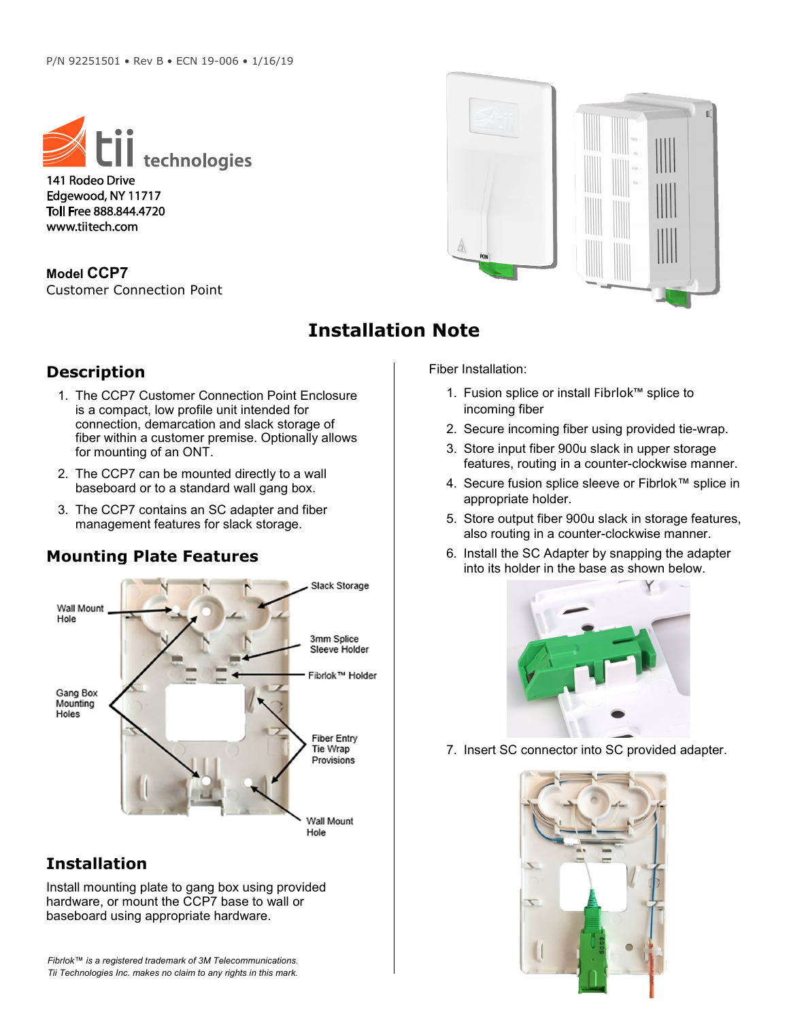

141 Rodeo Drive Edgewood, NY 11717 Toll Free 888.844.4720 www.tiitech.com

**Model CCP7** Customer Connection Point



## **Installation Note**

## **Description**

- 1. The CCP7 Customer Connection Point Enclosure is a compact, low profile unit intended for connection, demarcation and slack storage of fiber within a customer premise. Optionally allows for mounting of an ONT.
- 2. The CCP7 can be mounted directly to a wall baseboard or to a standard wall gang box.
- 3. The CCP7 contains an SC adapter and fiber management features for slack storage.

## **Mounting Plate Features**



## **Installation**

Install mounting plate to gang box using provided hardware, or mount the CCP7 base to wall or baseboard using appropriate hardware.

*Fibrlok™ is a registered trademark of 3M Telecommunications. Tii Technologies Inc. makes no claim to any rights in this mark.*

Fiber Installation:

- 1. Fusion splice or install Fibrlok™ splice to incoming fiber
- 2. Secure incoming fiber using provided tie-wrap.
- 3. Store input fiber 900u slack in upper storage features, routing in a counter-clockwise manner.
- 4. Secure fusion splice sleeve or Fibrlok™ splice in appropriate holder.
- 5. Store output fiber 900u slack in storage features, also routing in a counter-clockwise manner.
- 6. Install the SC Adapter by snapping the adapter into its holder in the base as shown below.



7. Insert SC connector into SC provided adapter.